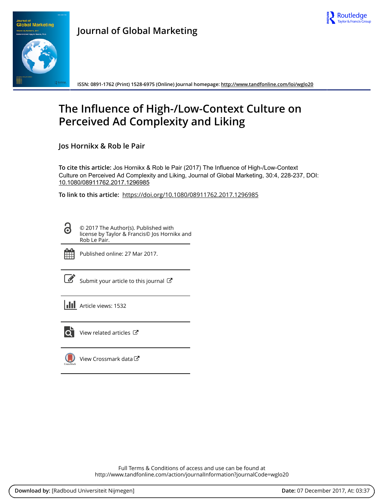



**ISSN: 0891-1762 (Print) 1528-6975 (Online) Journal homepage:<http://www.tandfonline.com/loi/wglo20>**

# **The Influence of High-/Low-Context Culture on Perceived Ad Complexity and Liking**

**Jos Hornikx & Rob le Pair**

**To cite this article:** Jos Hornikx & Rob le Pair (2017) The Influence of High-/Low-Context Culture on Perceived Ad Complexity and Liking, Journal of Global Marketing, 30:4, 228-237, DOI: [10.1080/08911762.2017.1296985](http://www.tandfonline.com/action/showCitFormats?doi=10.1080/08911762.2017.1296985)

**To link to this article:** <https://doi.org/10.1080/08911762.2017.1296985>

<u>ය</u>

© 2017 The Author(s). Published with license by Taylor & Francis© Jos Hornikx and Rob Le Pair.



Published online: 27 Mar 2017.

[Submit your article to this journal](http://www.tandfonline.com/action/authorSubmission?journalCode=wglo20&show=instructions)  $\mathbb{Z}$ 

**III** Article views: 1532



[View related articles](http://www.tandfonline.com/doi/mlt/10.1080/08911762.2017.1296985)  $\mathbb{Z}$ 

[View Crossmark data](http://crossmark.crossref.org/dialog/?doi=10.1080/08911762.2017.1296985&domain=pdf&date_stamp=2017-03-27)

Full Terms & Conditions of access and use can be found at <http://www.tandfonline.com/action/journalInformation?journalCode=wglo20>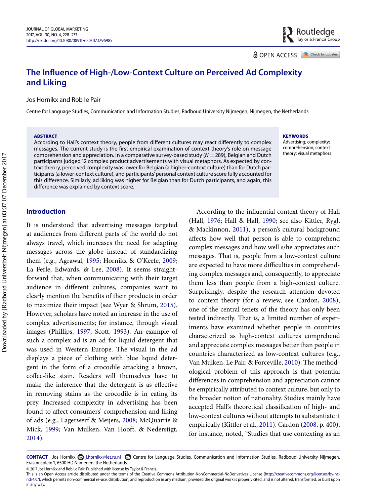**a** OPEN ACCESS **a** Check for updates

# **The Influence of High-/Low-Context Culture on Perceived Ad Complexity and Liking**

Jos Hornikx and Rob le Pair

Centre for Language Studies, Communication and Information Studies, Radboud University Nijmegen, Nijmegen, the Netherlands

#### **ABSTRACT**

According to Hall's context theory, people from different cultures may react differently to complex messages. The current study is the first empirical examination of context theory's role on message comprehension and appreciation. In a comparative survey-based study (*<sup>N</sup>* <sup>=</sup> 289), Belgian and Dutch participants judged 12 complex product advertisements with visual metaphors. As expected by context theory, perceived complexity was lower for Belgian (a higher-context culture) than for Dutch participants (a lower-context culture), and participants'personal context culture score fully accounted for this difference. Similarly, ad liking was higher for Belgian than for Dutch participants, and again, this difference was explained by context score.

#### **KEYWORDS**

Advertising; complexity; comprehension; context theory; visual metaphors

## **Introduction**

It is understood that advertising messages targeted at audiences from different parts of the world do not always travel, which increases the need for adapting messages across the globe instead of standardizing them (e.g., Agrawal, [1995;](#page-9-0) Hornikx & O'Keefe, [2009;](#page-9-1) La Ferle, Edwards, & Lee, [2008\)](#page-9-2). It seems straightforward that, when communicating with their target audience in different cultures, companies want to clearly mention the benefits of their products in order to maximize their impact (see Wyer & Shrum, [2015\)](#page-10-0). However, scholars have noted an increase in the use of complex advertisements; for instance, through visual images (Phillips, [1997;](#page-10-1) Scott, [1993\)](#page-10-2). An example of such a complex ad is an ad for liquid detergent that was used in Western Europe. The visual in the ad displays a piece of clothing with blue liquid detergent in the form of a crocodile attacking a brown, coffee-like stain. Readers will themselves have to make the inference that the detergent is as effective in removing stains as the crocodile is in eating its prey. Increased complexity in advertising has been found to affect consumers' comprehension and liking of ads (e.g., Lagerwerf & Meijers, [2008;](#page-9-3) McQuarrie & Mick, [1999;](#page-10-3) Van Mulken, Van Hooft, & Nederstigt, [2014\)](#page-10-4).

According to the influential context theory of Hall (Hall, [1976;](#page-9-4) Hall & Hall, [1990;](#page-9-5) see also Kittler, Rygl, & Mackinnon, [2011\)](#page-9-6), a person's cultural background affects how well that person is able to comprehend complex messages and how well s/he appreciates such messages. That is, people from a low-context culture are expected to have more difficulties in comprehending complex messages and, consequently, to appreciate them less than people from a high-context culture. Surprisingly, despite the research attention devoted to context theory (for a review, see Cardon, [2008\)](#page-9-7), one of the central tenets of the theory has only been tested indirectly. That is, a limited number of experiments have examined whether people in countries characterized as high-context cultures comprehend and appreciate complex messages better than people in countries characterized as low-context cultures (e.g., Van Mulken, Le Pair, & Forceville, [2010\)](#page-10-5). The methodological problem of this approach is that potential differences in comprehension and appreciation cannot be empirically attributed to context culture, but only to the broader notion of nationality. Studies mainly have accepted Hall's theoretical classification of high- and low-context cultures without attempts to substantiate it empirically (Kittler et al., [2011\)](#page-9-6). Cardon [\(2008,](#page-9-7) p. 400), for instance, noted, "Studies that use contexting as an

© Jos Hornikx and Rob Le Pair. Published with license by Taylor & Francis.

CONTACT Jos Hornikx **(S**) [j.hornikx@let.ru.nl](mailto:j.hornikx@let.ru.nl) **contable Contre for Language Studies**, Communication and Information Studies, Radboud University Nijmegen, Erasmusplein 1, 6500 HD Nijmegen, the Netherlands.

This is an Open Access article distributed under the terms of the Creative Commons Attribution-NonCommercial-NoDerivatives License (http://creativecommons.org/licenses/by-ncnd/4.0/), which permits non-commercial re-use, distribution, and reproduction in any medium, provided the original work is properly cited, and is not altered, transformed, or built upon in any way.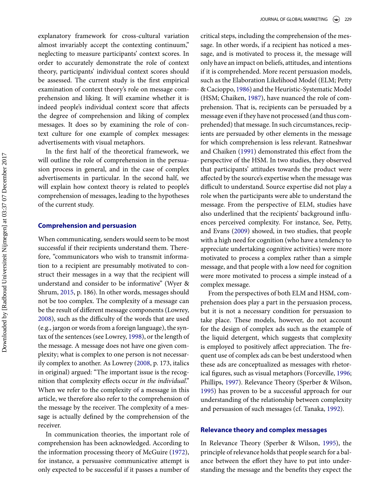explanatory framework for cross-cultural variation almost invariably accept the contexting continuum," neglecting to measure participants' context scores. In order to accurately demonstrate the role of context theory, participants' individual context scores should be assessed. The current study is the first empirical examination of context theory's role on message comprehension and liking. It will examine whether it is indeed people's individual context score that affects the degree of comprehension and liking of complex messages. It does so by examining the role of context culture for one example of complex messages: advertisements with visual metaphors.

In the first half of the theoretical framework, we will outline the role of comprehension in the persuasion process in general, and in the case of complex advertisements in particular. In the second half, we will explain how context theory is related to people's comprehension of messages, leading to the hypotheses of the current study.

#### **Comprehension and persuasion**

When communicating, senders would seem to be most successful if their recipients understand them. Therefore, "communicators who wish to transmit information to a recipient are presumably motivated to construct their messages in a way that the recipient will understand and consider to be informative" (Wyer & Shrum, [2015,](#page-10-0) p. 186). In other words, messages should not be too complex. The complexity of a message can be the result of different message components (Lowrey, [2008\)](#page-9-8), such as the difficulty of the words that are used (e.g., jargon or words from a foreign language), the syntax of the sentences (see Lowrey, [1998\)](#page-9-9), or the length of the message. A message does not have one given complexity; what is complex to one person is not necessarily complex to another. As Lowrey [\(2008,](#page-9-8) p. 173, italics in original) argued: "The important issue is the recognition that complexity effects occur *in the individual*." When we refer to the complexity of a message in this article, we therefore also refer to the comprehension of the message by the receiver. The complexity of a message is actually defined by the comprehension of the receiver.

In communication theories, the important role of comprehension has been acknowledged. According to the information processing theory of McGuire [\(1972\)](#page-9-10), for instance, a persuasive communicative attempt is only expected to be successful if it passes a number of

critical steps, including the comprehension of the message. In other words, if a recipient has noticed a message, and is motivated to process it, the message will only have an impact on beliefs, attitudes, and intentions if it is comprehended. More recent persuasion models, such as the Elaboration Likelihood Model (ELM; Petty & Cacioppo, [1986\)](#page-10-6) and the Heuristic-Systematic Model (HSM; Chaiken, [1987\)](#page-9-11), have nuanced the role of comprehension. That is, recipients can be persuaded by a message even if they have not processed (and thus comprehended) that message. In such circumstances, recipients are persuaded by other elements in the message for which comprehension is less relevant. Ratneshwar and Chaiken [\(1991\)](#page-10-7) demonstrated this effect from the perspective of the HSM. In two studies, they observed that participants' attitudes towards the product were affected by the source's expertise when the message was difficult to understand. Source expertise did not play a role when the participants were able to understand the message. From the perspective of ELM, studies have also underlined that the recipients' background influences perceived complexity. For instance, See, Petty, and Evans [\(2009\)](#page-10-8) showed, in two studies, that people with a high need for cognition (who have a tendency to appreciate undertaking cognitive activities) were more motivated to process a complex rather than a simple message, and that people with a low need for cognition were more motivated to process a simple instead of a complex message.

From the perspectives of both ELM and HSM, comprehension does play a part in the persuasion process, but it is not a necessary condition for persuasion to take place. These models, however, do not account for the design of complex ads such as the example of the liquid detergent, which suggests that complexity is employed to positively affect appreciation. The frequent use of complex ads can be best understood when these ads are conceptualized as messages with rhetorical figures, such as visual metaphors (Forceville, [1996;](#page-9-12) Phillips, [1997\)](#page-10-1). Relevance Theory (Sperber & Wilson, [1995\)](#page-10-9) has proven to be a successful approach for our understanding of the relationship between complexity and persuasion of such messages (cf. Tanaka, [1992\)](#page-10-10).

#### **Relevance theory and complex messages**

In Relevance Theory (Sperber & Wilson, [1995\)](#page-10-9), the principle of relevance holds that people search for a balance between the effort they have to put into understanding the message and the benefits they expect the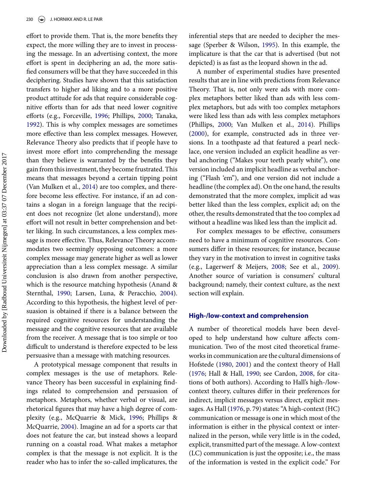effort to provide them. That is, the more benefits they expect, the more willing they are to invest in processing the message. In an advertising context, the more effort is spent in deciphering an ad, the more satisfied consumers will be that they have succeeded in this deciphering. Studies have shown that this satisfaction transfers to higher ad liking and to a more positive product attitude for ads that require considerable cognitive efforts than for ads that need lower cognitive efforts (e.g., Forceville, [1996;](#page-9-12) Phillips, [2000;](#page-10-11) Tanaka, [1992\)](#page-10-10). This is why complex messages are sometimes more effective than less complex messages. However, Relevance Theory also predicts that if people have to invest more effort into comprehending the message than they believe is warranted by the benefits they gain from this investment, they become frustrated. This means that messages beyond a certain tipping point (Van Mulken et al., [2014\)](#page-10-4) are too complex, and therefore become less effective. For instance, if an ad contains a slogan in a foreign language that the recipient does not recognize (let alone understand), more effort will not result in better comprehension and better liking. In such circumstances, a less complex message is more effective. Thus, Relevance Theory accommodates two seemingly opposing outcomes: a more complex message may generate higher as well as lower appreciation than a less complex message. A similar conclusion is also drawn from another perspective, which is the resource matching hypothesis (Anand & Sternthal, [1990;](#page-9-13) Larsen, Luna, & Peracchio, [2004\)](#page-9-14). According to this hypothesis, the highest level of persuasion is obtained if there is a balance between the required cognitive resources for understanding the message and the cognitive resources that are available from the receiver. A message that is too simple or too difficult to understand is therefore expected to be less persuasive than a message with matching resources.

A prototypical message component that results in complex messages is the use of metaphors. Relevance Theory has been successful in explaining findings related to comprehension and persuasion of metaphors. Metaphors, whether verbal or visual, are rhetorical figures that may have a high degree of complexity (e.g., McQuarrie & Mick, [1996;](#page-9-15) Phillips & McQuarrie, [2004\)](#page-10-12). Imagine an ad for a sports car that does not feature the car, but instead shows a leopard running on a coastal road. What makes a metaphor complex is that the message is not explicit. It is the reader who has to infer the so-called implicatures, the inferential steps that are needed to decipher the message (Sperber & Wilson, [1995\)](#page-10-9). In this example, the implicature is that the car that is advertised (but not depicted) is as fast as the leopard shown in the ad.

A number of experimental studies have presented results that are in line with predictions from Relevance Theory. That is, not only were ads with more complex metaphors better liked than ads with less complex metaphors, but ads with too complex metaphors were liked less than ads with less complex metaphors (Phillips, [2000;](#page-10-11) Van Mulken et al., [2014\)](#page-10-4). Phillips [\(2000\)](#page-10-11), for example, constructed ads in three versions. In a toothpaste ad that featured a pearl necklace, one version included an explicit headline as verbal anchoring ("Makes your teeth pearly white"), one version included an implicit headline as verbal anchoring ("Flash 'em"), and one version did not include a headline (the complex ad). On the one hand, the results demonstrated that the more complex, implicit ad was better liked than the less complex, explicit ad; on the other, the results demonstrated that the too complex ad without a headline was liked less than the implicit ad.

For complex messages to be effective, consumers need to have a minimum of cognitive resources. Consumers differ in these resources; for instance, because they vary in the motivation to invest in cognitive tasks (e.g., Lagerwerf & Meijers, [2008;](#page-9-3) See et al., [2009\)](#page-10-8). Another source of variation is consumers' cultural background; namely, their context culture, as the next section will explain.

#### **High-/low-context and comprehension**

A number of theoretical models have been developed to help understand how culture affects communication. Two of the most cited theoretical frameworks in communication are the cultural dimensions of Hofstede [\(1980,](#page-9-16) [2001\)](#page-9-17) and the context theory of Hall [\(1976;](#page-9-4) Hall & Hall, [1990;](#page-9-5) see Cardon, [2008,](#page-9-7) for citations of both authors). According to Hall's high-/lowcontext theory, cultures differ in their preferences for indirect, implicit messages versus direct, explicit messages. As Hall [\(1976,](#page-9-4) p. 79) states: "A high-context (HC) communication or message is one in which most of the information is either in the physical context or internalized in the person, while very little is in the coded, explicit, transmitted part of the message. A low-context (LC) communication is just the opposite; i.e., the mass of the information is vested in the explicit code." For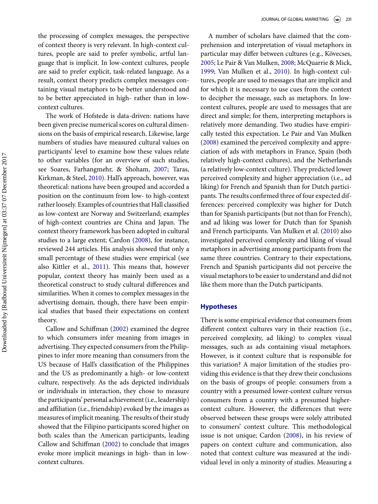the processing of complex messages, the perspective of context theory is very relevant. In high-context cultures, people are said to prefer symbolic, artful language that is implicit. In low-context cultures, people are said to prefer explicit, task-related language. As a result, context theory predicts complex messages containing visual metaphors to be better understood and to be better appreciated in high- rather than in lowcontext cultures.

The work of Hofstede is data-driven: nations have been given precise numerical scores on cultural dimensions on the basis of empirical research. Likewise, large numbers of studies have measured cultural values on participants' level to examine how these values relate to other variables (for an overview of such studies, see Soares, Farhangmehr, & Shoham, [2007;](#page-10-13) Taras, Kirkman, & Steel, [2010\)](#page-10-14). Hall's approach, however, was theoretical: nations have been grouped and accorded a position on the continuum from low- to high-context rather loosely. Examples of countries that Hall classified as low-context are Norway and Switzerland; examples of high-context countries are China and Japan. The context theory framework has been adopted in cultural studies to a large extent; Cardon [\(2008\)](#page-9-7), for instance, reviewed 244 articles. His analysis showed that only a small percentage of these studies were empirical (see also Kittler et al., [2011\)](#page-9-6). This means that, however popular, context theory has mainly been used as a theoretical construct to study cultural differences and similarities. When it comes to complex messages in the advertising domain, though, there have been empirical studies that based their expectations on context theory.

Callow and Schiffman [\(2002\)](#page-9-18) examined the degree to which consumers infer meaning from images in advertising. They expected consumers from the Philippines to infer more meaning than consumers from the US because of Hall's classification of the Philippines and the US as predominantly a high- or low-context culture, respectively. As the ads depicted individuals or individuals in interaction, they chose to measure the participants' personal achievement (i.e., leadership) and affiliation (i.e., friendship) evoked by the images as measures of implicit meaning. The results of their study showed that the Filipino participants scored higher on both scales than the American participants, leading Callow and Schiffman [\(2002\)](#page-9-18) to conclude that images evoke more implicit meanings in high- than in lowcontext cultures.

A number of scholars have claimed that the comprehension and interpretation of visual metaphors in particular may differ between cultures (e.g., Kövecses, [2005;](#page-9-19) Le Pair & Van Mulken, [2008;](#page-9-20) McQuarrie & Mick, [1999;](#page-10-3) Van Mulken et al., [2010\)](#page-10-5). In high-context cultures, people are used to messages that are implicit and for which it is necessary to use cues from the context to decipher the message, such as metaphors. In lowcontext cultures, people are used to messages that are direct and simple; for them, interpreting metaphors is relatively more demanding. Two studies have empirically tested this expectation. Le Pair and Van Mulken [\(2008\)](#page-9-20) examined the perceived complexity and appreciation of ads with metaphors in France, Spain (both relatively high-context cultures), and the Netherlands (a relatively low-context culture). They predicted lower perceived complexity and higher appreciation (i.e., ad liking) for French and Spanish than for Dutch participants. The results confirmed three of four expected differences: perceived complexity was higher for Dutch than for Spanish participants (but not than for French), and ad liking was lower for Dutch than for Spanish and French participants. Van Mulken et al. [\(2010\)](#page-10-5) also investigated perceived complexity and liking of visual metaphors in advertising among participants from the same three countries. Contrary to their expectations, French and Spanish participants did not perceive the visual metaphors to be easier to understand and did not like them more than the Dutch participants.

#### **Hypotheses**

There is some empirical evidence that consumers from different context cultures vary in their reaction (i.e., perceived complexity, ad liking) to complex visual messages, such as ads containing visual metaphors. However, is it context culture that is responsible for this variation? A major limitation of the studies providing this evidence is that they drew their conclusions on the basis of groups of people: consumers from a country with a presumed lower-context culture versus consumers from a country with a presumed highercontext culture. However, the differences that were observed between these groups were solely attributed to consumers' context culture. This methodological issue is not unique; Cardon [\(2008\)](#page-9-7), in his review of papers on context culture and communication, also noted that context culture was measured at the individual level in only a minority of studies. Measuring a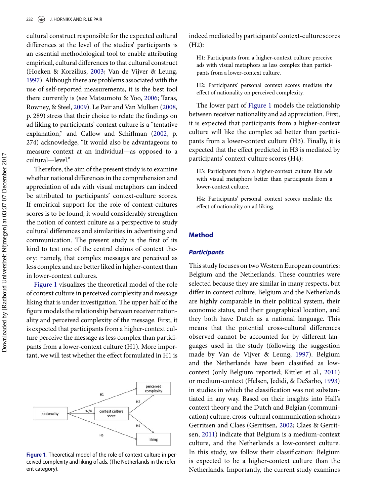cultural construct responsible for the expected cultural differences at the level of the studies' participants is an essential methodological tool to enable attributing empirical, cultural differences to that cultural construct (Hoeken & Korzilius, [2003;](#page-9-21) Van de Vijver & Leung, [1997\)](#page-10-15). Although there are problems associated with the use of self-reported measurements, it is the best tool there currently is (see Matsumoto & Yoo, [2006;](#page-9-22) Taras, Rowney, & Steel, [2009\)](#page-10-16). Le Pair and Van Mulken [\(2008,](#page-9-20) p. 289) stress that their choice to relate the findings on ad liking to participants' context culture is a "tentative explanation," and Callow and Schiffman [\(2002,](#page-9-18) p. 274) acknowledge, "It would also be advantageous to measure context at an individual—as opposed to a cultural—level."

Therefore, the aim of the present study is to examine whether national differences in the comprehension and appreciation of ads with visual metaphors can indeed be attributed to participants' context-culture scores. If empirical support for the role of context-cultures scores is to be found, it would considerably strengthen the notion of context culture as a perspective to study cultural differences and similarities in advertising and communication. The present study is the first of its kind to test one of the central claims of context theory: namely, that complex messages are perceived as less complex and are better liked in higher-context than in lower-context cultures.

[Figure 1](#page-5-0) visualizes the theoretical model of the role of context culture in perceived complexity and message liking that is under investigation. The upper half of the figure models the relationship between receiver nationality and perceived complexity of the message. First, it is expected that participants from a higher-context culture perceive the message as less complex than participants from a lower-context culture (H1). More important, we will test whether the effect formulated in H1 is

<span id="page-5-0"></span>

Figure 1. Theoretical model of the role of context culture in perceived complexity and liking of ads. (The Netherlands in the referent category).

indeed mediated by participants' context-culture scores (H2):

H1: Participants from a higher-context culture perceive ads with visual metaphors as less complex than participants from a lower-context culture.

H2: Participants' personal context scores mediate the effect of nationality on perceived complexity.

The lower part of [Figure 1](#page-5-0) models the relationship between receiver nationality and ad appreciation. First, it is expected that participants from a higher-context culture will like the complex ad better than participants from a lower-context culture (H3). Finally, it is expected that the effect predicted in H3 is mediated by participants' context-culture scores (H4):

H3: Participants from a higher-context culture like ads with visual metaphors better than participants from a lower-context culture.

H4: Participants' personal context scores mediate the effect of nationality on ad liking.

#### **Method**

#### *Participants*

This study focuses on two Western European countries: Belgium and the Netherlands. These countries were selected because they are similar in many respects, but differ in context culture. Belgium and the Netherlands are highly comparable in their political system, their economic status, and their geographical location, and they both have Dutch as a national language. This means that the potential cross-cultural differences observed cannot be accounted for by different languages used in the study (following the suggestion made by Van de Vijver & Leung, [1997\)](#page-10-15). Belgium and the Netherlands have been classified as lowcontext (only Belgium reported; Kittler et al., [2011\)](#page-9-6) or medium-context (Helsen, Jedidi, & DeSarbo, [1993\)](#page-9-23) in studies in which the classification was not substantiated in any way. Based on their insights into Hall's context theory and the Dutch and Belgian (communication) culture, cross-cultural communication scholars Gerritsen and Claes (Gerritsen, [2002;](#page-9-24) Claes & Gerritsen, [2011\)](#page-9-25) indicate that Belgium is a medium-context culture, and the Netherlands a low-context culture. In this study, we follow their classification: Belgium is expected to be a higher-context culture than the Netherlands. Importantly, the current study examines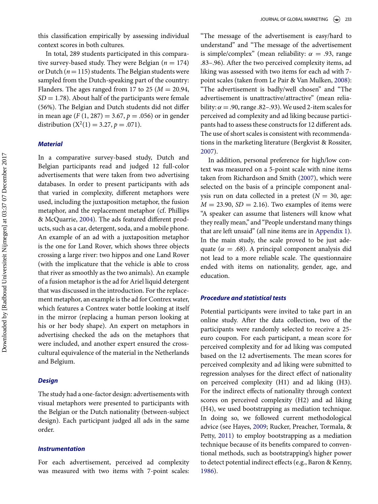this classification empirically by assessing individual context scores in both cultures.

In total, 289 students participated in this comparative survey-based study. They were Belgian ( $n = 174$ ) or Dutch ( $n = 115$ ) students. The Belgian students were sampled from the Dutch-speaking part of the country: Flanders. The ages ranged from 17 to 25 ( $M = 20.94$ ,  $SD = 1.78$ ). About half of the participants were female (56%). The Belgian and Dutch students did not differ in mean age  $(F(1, 287) = 3.67, p = .056)$  or in gender distribution ( $X^2(1) = 3.27$ ,  $p = .071$ ).

#### *Material*

In a comparative survey-based study, Dutch and Belgian participants read and judged 12 full-color advertisements that were taken from two advertising databases. In order to present participants with ads that varied in complexity, different metaphors were used, including the juxtaposition metaphor, the fusion metaphor, and the replacement metaphor (cf. Phillips & McQuarrie, [2004\)](#page-10-12). The ads featured different products, such as a car, detergent, soda, and a mobile phone. An example of an ad with a juxtaposition metaphor is the one for Land Rover, which shows three objects crossing a large river: two hippos and one Land Rover (with the implicature that the vehicle is able to cross that river as smoothly as the two animals). An example of a fusion metaphor is the ad for Ariel liquid detergent that was discussed in the introduction. For the replacement metaphor, an example is the ad for Contrex water, which features a Contrex water bottle looking at itself in the mirror (replacing a human person looking at his or her body shape). An expert on metaphors in advertising checked the ads on the metaphors that were included, and another expert ensured the crosscultural equivalence of the material in the Netherlands and Belgium.

#### *Design*

The study had a one-factor design: advertisements with visual metaphors were presented to participants with the Belgian or the Dutch nationality (between-subject design). Each participant judged all ads in the same order.

#### *Instrumentation*

For each advertisement, perceived ad complexity was measured with two items with 7-point scales: "The message of the advertisement is easy/hard to understand" and "The message of the advertisement is simple/complex" (mean reliability:  $\alpha = .93$ , range .83–.96). After the two perceived complexity items, ad liking was assessed with two items for each ad with 7 point scales (taken from Le Pair & Van Mulken, [2008\)](#page-9-20): "The advertisement is badly/well chosen" and "The advertisement is unattractive/attractive" (mean reliability:  $\alpha = .90$ , range .82-.93). We used 2-item scales for perceived ad complexity and ad liking because participants had to assess these constructs for 12 different ads. The use of short scales is consistent with recommendations in the marketing literature (Bergkvist & Rossiter, [2007\)](#page-9-26).

In addition, personal preference for high/low context was measured on a 5-point scale with nine items taken from Richardson and Smith [\(2007\)](#page-10-17), which were selected on the basis of a principle component analysis run on data collected in a pretest  $(N = 30, 4)$  $M = 23.90$ ,  $SD = 2.16$ ). Two examples of items were "A speaker can assume that listeners will know what they really mean," and "People understand many things that are left unsaid" (all nine items are in [Appendix 1\)](#page-10-18). In the main study, the scale proved to be just adequate ( $\alpha = .68$ ). A principal component analysis did not lead to a more reliable scale. The questionnaire ended with items on nationality, gender, age, and education.

#### *Procedure and statistical tests*

Potential participants were invited to take part in an online study. After the data collection, two of the participants were randomly selected to receive a 25 euro coupon. For each participant, a mean score for perceived complexity and for ad liking was computed based on the 12 advertisements. The mean scores for perceived complexity and ad liking were submitted to regression analyses for the direct effect of nationality on perceived complexity (H1) and ad liking (H3). For the indirect effects of nationality through context scores on perceived complexity (H2) and ad liking (H4), we used bootstrapping as mediation technique. In doing so, we followed current methodological advice (see Hayes, [2009;](#page-9-27) Rucker, Preacher, Tormala, & Petty, [2011\)](#page-10-19) to employ bootstrapping as a mediation technique because of its benefits compared to conventional methods, such as bootstrapping's higher power to detect potential indirect effects (e.g., Baron & Kenny, [1986\)](#page-9-28).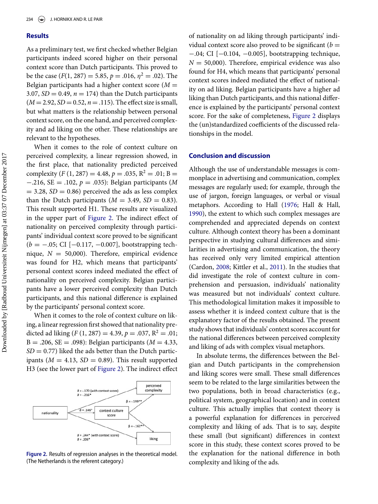#### **Results**

As a preliminary test, we first checked whether Belgian participants indeed scored higher on their personal context score than Dutch participants. This proved to be the case (*F*(1, 287) = 5.85, *p* = .016,  $\eta^2$  = .02). The Belgian participants had a higher context score  $(M =$ 3.07,  $SD = 0.49$ ,  $n = 174$ ) than the Dutch participants  $(M = 2.92, SD = 0.52, n = .115)$ . The effect size is small, but what matters is the relationship between personal context score, on the one hand, and perceived complexity and ad liking on the other. These relationships are relevant to the hypotheses.

When it comes to the role of context culture on perceived complexity, a linear regression showed, in the first place, that nationality predicted perceived complexity  $(F (1, 287) = 4.48, p = .035, R^2 = .01; B =$ −.216, SE = .102, *p* = .035): Belgian participants (*M*  $= 3.28$ ,  $SD = 0.86$ ) perceived the ads as less complex than the Dutch participants  $(M = 3.49, SD = 0.83)$ . This result supported H1. These results are visualized in the upper part of [Figure 2.](#page-7-0) The indirect effect of nationality on perceived complexity through participants' individual context score proved to be significant (*b* = −.05; CI [−0.117, −0.007], bootstrapping technique,  $N = 50,000$ . Therefore, empirical evidence was found for H2, which means that participants' personal context scores indeed mediated the effect of nationality on perceived complexity. Belgian participants have a lower perceived complexity than Dutch participants, and this national difference is explained by the participants' personal context score.

When it comes to the role of context culture on liking, a linear regression first showed that nationality predicted ad liking  $(F(1, 287) = 4.39, p = .037, R^2 = .01;$  $B = .206$ ,  $SE = .098$ ): Belgian participants ( $M = 4.33$ ,  $SD = 0.77$ ) liked the ads better than the Dutch participants ( $M = 4.13$ ,  $SD = 0.89$ ). This result supported H3 (see the lower part of [Figure 2\)](#page-7-0). The indirect effect

<span id="page-7-0"></span>

Figure 2. Results of regression analyses in the theoretical model. (The Netherlands is the referent category.)

of nationality on ad liking through participants' individual context score also proved to be significant ( $b =$ −.04; CI [−0.104, −0.005], bootstrapping technique,  $N = 50,000$ . Therefore, empirical evidence was also found for H4, which means that participants' personal context scores indeed mediated the effect of nationality on ad liking. Belgian participants have a higher ad liking than Dutch participants, and this national difference is explained by the participants' personal context score. For the sake of completeness, [Figure 2](#page-7-0) displays the (un)standardized coefficients of the discussed relationships in the model.

#### **Conclusion and discussion**

Although the use of understandable messages is commonplace in advertising and communication, complex messages are regularly used; for example, through the use of jargon, foreign languages, or verbal or visual metaphors. According to Hall [\(1976;](#page-9-4) Hall & Hall, [1990\)](#page-9-5), the extent to which such complex messages are comprehended and appreciated depends on context culture. Although context theory has been a dominant perspective in studying cultural differences and similarities in advertising and communication, the theory has received only very limited empirical attention (Cardon, [2008;](#page-9-7) Kittler et al., [2011\)](#page-9-6). In the studies that did investigate the role of context culture in comprehension and persuasion, individuals' nationality was measured but not individuals' context culture. This methodological limitation makes it impossible to assess whether it is indeed context culture that is the explanatory factor of the results obtained. The present study shows that individuals' context scores account for the national differences between perceived complexity and liking of ads with complex visual metaphors.

In absolute terms, the differences between the Belgian and Dutch participants in the comprehension and liking scores were small. These small differences seem to be related to the large similarities between the two populations, both in broad characteristics (e.g., political system, geographical location) and in context culture. This actually implies that context theory is a powerful explanation for differences in perceived complexity and liking of ads. That is to say, despite these small (but significant) differences in context score in this study, these context scores proved to be the explanation for the national difference in both complexity and liking of the ads.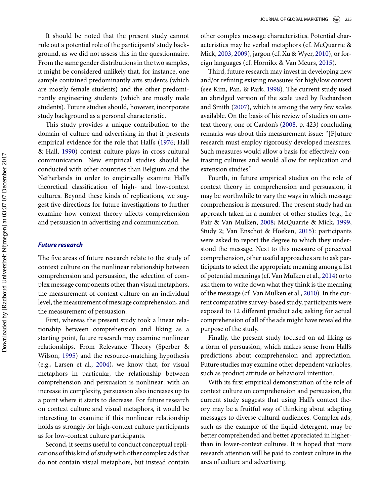It should be noted that the present study cannot rule out a potential role of the participants' study background, as we did not assess this in the questionnaire. From the same gender distributions in the two samples, it might be considered unlikely that, for instance, one sample contained predominantly arts students (which are mostly female students) and the other predominantly engineering students (which are mostly male students). Future studies should, however, incorporate study background as a personal characteristic.

This study provides a unique contribution to the domain of culture and advertising in that it presents empirical evidence for the role that Hall's [\(1976;](#page-9-4) Hall & Hall, [1990\)](#page-9-5) context culture plays in cross-cultural communication. New empirical studies should be conducted with other countries than Belgium and the Netherlands in order to empirically examine Hall's theoretical classification of high- and low-context cultures. Beyond these kinds of replications, we suggest five directions for future investigations to further examine how context theory affects comprehension and persuasion in advertising and communication.

#### *Future research*

The five areas of future research relate to the study of context culture on the nonlinear relationship between comprehension and persuasion, the selection of complex message components other than visual metaphors, the measurement of context culture on an individual level, the measurement of message comprehension, and the measurement of persuasion.

First, whereas the present study took a linear relationship between comprehension and liking as a starting point, future research may examine nonlinear relationships. From Relevance Theory (Sperber & Wilson, [1995\)](#page-10-9) and the resource-matching hypothesis (e.g., Larsen et al., [2004\)](#page-9-14), we know that, for visual metaphors in particular, the relationship between comprehension and persuasion is nonlinear: with an increase in complexity, persuasion also increases up to a point where it starts to decrease. For future research on context culture and visual metaphors, it would be interesting to examine if this nonlinear relationship holds as strongly for high-context culture participants as for low-context culture participants.

Second, it seems useful to conduct conceptual replications of this kind of study with other complex ads that do not contain visual metaphors, but instead contain other complex message characteristics. Potential characteristics may be verbal metaphors (cf. McQuarrie & Mick, [2003,](#page-10-20) [2009\)](#page-10-21), jargon (cf. Xu & Wyer, [2010\)](#page-10-22), or foreign languages (cf. Hornikx & Van Meurs, [2015\)](#page-9-29).

Third, future research may invest in developing new and/or refining existing measures for high/low context (see Kim, Pan, & Park, [1998\)](#page-9-30). The current study used an abridged version of the scale used by Richardson and Smith [\(2007\)](#page-10-17), which is among the very few scales available. On the basis of his review of studies on context theory, one of Cardon's [\(2008,](#page-9-7) p. 423) concluding remarks was about this measurement issue: "[F]uture research must employ rigorously developed measures. Such measures would allow a basis for effectively contrasting cultures and would allow for replication and extension studies."

Fourth, in future empirical studies on the role of context theory in comprehension and persuasion, it may be worthwhile to vary the ways in which message comprehension is measured. The present study had an approach taken in a number of other studies (e.g., Le Pair & Van Mulken, [2008;](#page-9-20) McQuarrie & Mick, [1999,](#page-10-3) Study 2; Van Enschot & Hoeken, [2015\)](#page-10-23): participants were asked to report the degree to which they understood the message. Next to this measure of perceived comprehension, other useful approaches are to ask participants to select the appropriate meaning among a list of potential meanings (cf. Van Mulken et al., [2014\)](#page-10-4) or to ask them to write down what they think is the meaning of the message (cf. Van Mulken et al., [2010\)](#page-10-5). In the current comparative survey-based study, participants were exposed to 12 different product ads; asking for actual comprehension of all of the ads might have revealed the purpose of the study.

Finally, the present study focused on ad liking as a form of persuasion, which makes sense from Hall's predictions about comprehension and appreciation. Future studies may examine other dependent variables, such as product attitude or behavioral intention.

With its first empirical demonstration of the role of context culture on comprehension and persuasion, the current study suggests that using Hall's context theory may be a fruitful way of thinking about adapting messages to diverse cultural audiences. Complex ads, such as the example of the liquid detergent, may be better comprehended and better appreciated in higherthan in lower-context cultures. It is hoped that more research attention will be paid to context culture in the area of culture and advertising.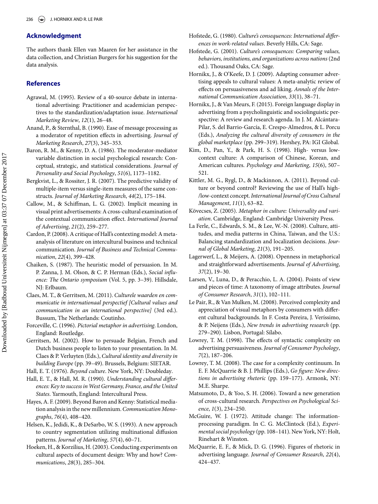### **Acknowledgment**

The authors thank Ellen van Maaren for her assistance in the data collection, and Christian Burgers for his suggestion for the data analysis.

#### **References**

- <span id="page-9-0"></span>Agrawal, M. (1995). Review of a 40-source debate in international advertising: Practitioner and academician perspectives to the standardization/adaptation issue. *International Marketing Review*, *12*(1), 26–48.
- <span id="page-9-13"></span>Anand, P., & Sternthal, B. (1990). Ease of message processing as a moderator of repetition effects in advertising. *Journal of Marketing Research*, *27*(3), 345–353.
- <span id="page-9-28"></span>Baron, R. M., & Kenny, D. A. (1986). The moderator-mediator variable distinction in social psychological research: Conceptual, strategic, and statistical considerations. *Journal of Personality and Social Psychology*, *51*(6), 1173–1182.
- <span id="page-9-26"></span>Bergkvist, L., & Rossiter, J. R. (2007). The predictive validity of multiple-item versus single-item measures of the same constructs. *Journal of Marketing Research*, *44*(2), 175–184.
- <span id="page-9-18"></span>Callow, M., & Schiffman, L. G. (2002). Implicit meaning in visual print advertisements: A cross-cultural examination of the contextual communication effect. *International Journal of Advertising*, *21*(2), 259–277.
- <span id="page-9-7"></span>Cardon, P. (2008). A critique of Hall's contexting model: A metaanalysis of literature on intercultural business and technical communication. *Journal of Business and Technical Communication*, *22*(4), 399–428.
- <span id="page-9-11"></span>Chaiken, S. (1987). The heuristic model of persuasion. In M. P. Zanna, J. M. Olson, & C. P. Herman (Eds.), *Social influence: The Ontario symposium* (Vol. 5, pp. 3–39). Hillsdale, NJ: Erlbaum.
- <span id="page-9-25"></span>Claes, M. T., & Gerritsen, M. (2011). *Culturele waarden en communicatie in internationaal perspectief [Cultural values and communication in an international perspective]* (3rd ed.). Bussum, The Netherlands: Coutinho.
- <span id="page-9-12"></span>Forceville, C. (1996). *Pictorial metaphor in advertising*. London, England: Routledge.
- <span id="page-9-24"></span>Gerritsen, M. (2002). How to persuade Belgian, French and Dutch business people to listen to your presentation. In M. Claes & P. Verluyten (Eds.), *Cultural identity and diversity in building Europe* (pp. 39–49). Brussels, Belgium: SIETAR.
- <span id="page-9-4"></span>Hall, E. T. (1976). *Beyond culture*. New York, NY: Doubleday.
- <span id="page-9-5"></span>Hall, E. T., & Hall, M. R. (1990). *Understanding cultural differences: Key to success in West Germany, France, and the United States*. Yarmouth, England: Intercultural Press.
- <span id="page-9-27"></span>Hayes, A. F. (2009). Beyond Baron and Kenny: Statistical mediation analysis in the new millennium.*Communication Monographs*, *76*(4), 408–420.
- <span id="page-9-23"></span>Helsen, K., Jedidi, K., & DeSarbo, W. S. (1993). A new approach to country segmentation utilizing multinational diffusion patterns. *Journal of Marketing*, *57*(4), 60–71.
- <span id="page-9-21"></span>Hoeken, H., & Korzilius, H. (2003). Conducting experiments on cultural aspects of document design: Why and how? *Communications*, *28*(3), 285–304.
- <span id="page-9-16"></span>Hofstede, G. (1980). *Culture's consequences: International differences in work-related values*. Beverly Hills, CA: Sage.
- <span id="page-9-17"></span>Hofstede, G. (2001). *Culture's consequences: Comparing values, behaviors, institutions, and organizations across nations*(2nd ed.). Thousand Oaks, CA: Sage.
- <span id="page-9-1"></span>Hornikx, J., & O'Keefe, D. J. (2009). Adapting consumer advertising appeals to cultural values: A meta-analytic review of effects on persuasiveness and ad liking. *Annals of the International Communication Association*, *33*(1), 38–71.
- <span id="page-9-29"></span>Hornikx, J., & Van Meurs, F. (2015). Foreign language display in advertising from a psycholinguistic and sociolinguistic perspective: A review and research agenda. In J. M. Alcántara-Pilar, S. del Barrio-García, E. Crespo-Almedros, & L. Porcu (Eds.), *Analyzing the cultural diversity of consumers in the global marketplace* (pp. 299–319). Hershey, PA: IGI Global.
- <span id="page-9-30"></span>Kim, D., Pan, Y., & Park, H. S. (1998). High- versus lowcontext culture: A comparison of Chinese, Korean, and American cultures. *Psychology and Marketing*, *15*(6), 507– 521.
- <span id="page-9-6"></span>Kittler, M. G., Rygl, D., & Mackinnon, A. (2011). Beyond culture or beyond control? Reviewing the use of Hall's high- /low-context concept.*International Journal of Cross Cultural Management*, *11*(1), 63–82.
- <span id="page-9-19"></span>Kövecses, Z. (2005). *Metaphor in culture: Universality and variation*. Cambridge, England: Cambridge University Press.
- <span id="page-9-2"></span>La Ferle, C., Edwards, S. M., & Lee, W.-N. (2008). Culture, attitudes, and media patterns in China, Taiwan, and the U.S.: Balancing standardization and localization decisions. *Journal of Global Marketing*, *21*(3), 191–205.
- <span id="page-9-3"></span>Lagerwerf, L., & Meijers, A. (2008). Openness in metaphorical and straightforward advertisements. *Journal of Advertising*, *37*(2), 19–30.
- <span id="page-9-14"></span>Larsen, V., Luna, D., & Peracchio, L. A. (2004). Points of view and pieces of time: A taxonomy of image attributes. *Journal of Consumer Research*, *31*(1), 102–111.
- <span id="page-9-20"></span>Le Pair, R., & Van Mulken, M. (2008). Perceived complexity and appreciation of visual metaphors by consumers with different cultural backgrounds. In F. Costa Pereira, J. Veríssimo, & P. Neijens (Eds.), *New trends in advertising research* (pp. 279–290). Lisbon, Portugal: Sílabo.
- <span id="page-9-9"></span>Lowrey, T. M. (1998). The effects of syntactic complexity on advertising persuasiveness. *Journal of Consumer Psychology*, *7*(2), 187–206.
- <span id="page-9-8"></span>Lowrey, T. M. (2008). The case for a complexity continuum. In E. F. McQuarrie & B. J. Phillips (Eds.), *Go figure: New directions in advertising rhetoric* (pp. 159–177). Armonk, NY: M.E. Sharpe.
- <span id="page-9-22"></span>Matsumoto, D., & Yoo, S. H. (2006). Toward a new generation of cross-cultural research. *Perspectives on Psychological Science*, *1*(3), 234–250.
- <span id="page-9-10"></span>McGuire, W. J. (1972). Attitude change: The informationprocessing paradigm. In C. G. McClintock (Ed.), *Experimental social psychology* (pp. 108–141). New York, NY: Holt, Rinehart & Winston.
- <span id="page-9-15"></span>McQuarrie, E. F., & Mick, D. G. (1996). Figures of rhetoric in advertising language. *Journal of Consumer Research*, *22*(4), 424–437.